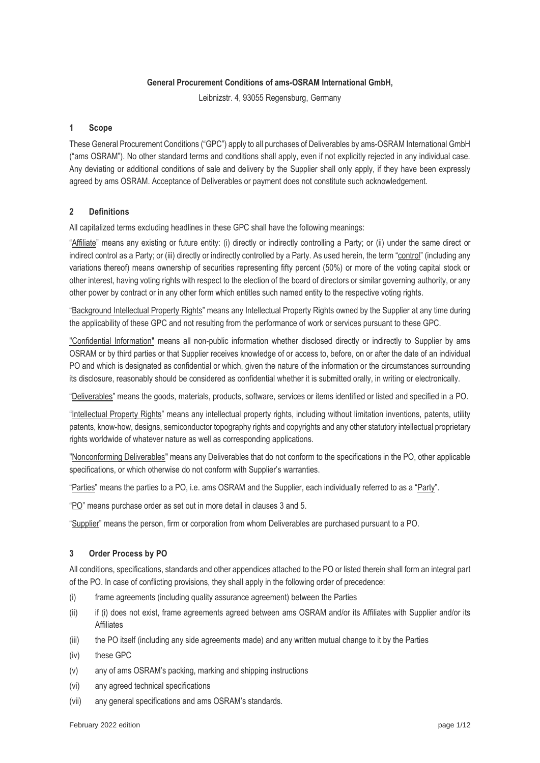### **General Procurement Conditions of ams-OSRAM International GmbH,**

Leibnizstr. 4, 93055 Regensburg, Germany

## **1 Scope**

These General Procurement Conditions ("GPC") apply to all purchases of Deliverables by ams-OSRAM International GmbH ("ams OSRAM"). No other standard terms and conditions shall apply, even if not explicitly rejected in any individual case. Any deviating or additional conditions of sale and delivery by the Supplier shall only apply, if they have been expressly agreed by ams OSRAM. Acceptance of Deliverables or payment does not constitute such acknowledgement.

## **2 Definitions**

All capitalized terms excluding headlines in these GPC shall have the following meanings:

"Affiliate" means any existing or future entity: (i) directly or indirectly controlling a Party; or (ii) under the same direct or indirect control as a Party; or (iii) directly or indirectly controlled by a Party. As used herein, the term "control" (including any variations thereof) means ownership of securities representing fifty percent (50%) or more of the voting capital stock or other interest, having voting rights with respect to the election of the board of directors or similar governing authority, or any other power by contract or in any other form which entitles such named entity to the respective voting rights.

"Background Intellectual Property Rights" means any Intellectual Property Rights owned by the Supplier at any time during the applicability of these GPC and not resulting from the performance of work or services pursuant to these GPC.

"Confidential Information" means all non-public information whether disclosed directly or indirectly to Supplier by ams OSRAM or by third parties or that Supplier receives knowledge of or access to, before, on or after the date of an individual PO and which is designated as confidential or which, given the nature of the information or the circumstances surrounding its disclosure, reasonably should be considered as confidential whether it is submitted orally, in writing or electronically.

"Deliverables" means the goods, materials, products, software, services or items identified or listed and specified in a PO.

"Intellectual Property Rights" means any intellectual property rights, including without limitation inventions, patents, utility patents, know-how, designs, semiconductor topography rights and copyrights and any other statutory intellectual proprietary rights worldwide of whatever nature as well as corresponding applications.

"Nonconforming Deliverables" means any Deliverables that do not conform to the specifications in the PO, other applicable specifications, or which otherwise do not conform with Supplier's warranties.

"Parties" means the parties to a PO, i.e. ams OSRAM and the Supplier, each individually referred to as a "Party".

"PO" means purchase order as set out in more detail in clauses [3](#page-0-0) an[d 5.](#page-1-0)

"Supplier" means the person, firm or corporation from whom Deliverables are purchased pursuant to a PO.

# <span id="page-0-0"></span>**3 Order Process by PO**

All conditions, specifications, standards and other appendices attached to the PO or listed therein shall form an integral part of the PO. In case of conflicting provisions, they shall apply in the following order of precedence:

- (i) frame agreements (including quality assurance agreement) between the Parties
- (ii) if (i) does not exist, frame agreements agreed between ams OSRAM and/or its Affiliates with Supplier and/or its Affiliates
- (iii) the PO itself (including any side agreements made) and any written mutual change to it by the Parties
- (iv) these GPC
- (v) any of ams OSRAM's packing, marking and shipping instructions
- (vi) any agreed technical specifications
- (vii) any general specifications and ams OSRAM's standards.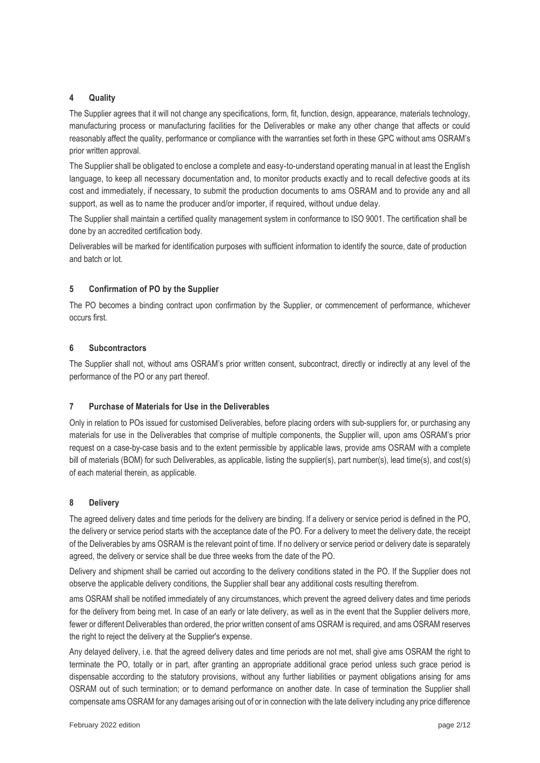## **4 Quality**

The Supplier agrees that it will not change any specifications, form, fit, function, design, appearance, materials technology, manufacturing process or manufacturing facilities for the Deliverables or make any other change that affects or could reasonably affect the quality, performance or compliance with the warranties set forth in these GPC without ams OSRAM's prior written approval.

The Supplier shall be obligated to enclose a complete and easy-to-understand operating manual in at least the English language, to keep all necessary documentation and, to monitor products exactly and to recall defective goods at its cost and immediately, if necessary, to submit the production documents to ams OSRAM and to provide any and all support, as well as to name the producer and/or importer, if required, without undue delay.

The Supplier shall maintain a certified quality management system in conformance to ISO 9001. The certification shall be done by an accredited certification body.

Deliverables will be marked for identification purposes with sufficient information to identify the source, date of production and batch or lot.

## <span id="page-1-0"></span>**5 Confirmation of PO by the Supplier**

The PO becomes a binding contract upon confirmation by the Supplier, or commencement of performance, whichever occurs first.

## <span id="page-1-1"></span>**6 Subcontractors**

The Supplier shall not, without ams OSRAM's prior written consent, subcontract, directly or indirectly at any level of the performance of the PO or any part thereof.

# **7 Purchase of Materials for Use in the Deliverables**

Only in relation to POs issued for customised Deliverables, before placing orders with sub-suppliers for, or purchasing any materials for use in the Deliverables that comprise of multiple components, the Supplier will, upon ams OSRAM's prior request on a case-by-case basis and to the extent permissible by applicable laws, provide ams OSRAM with a complete bill of materials (BOM) for such Deliverables, as applicable, listing the supplier(s), part number(s), lead time(s), and cost(s) of each material therein, as applicable.

#### **8 Delivery**

The agreed delivery dates and time periods for the delivery are binding. If a delivery or service period is defined in the PO, the delivery or service period starts with the acceptance date of the PO. For a delivery to meet the delivery date, the receipt of the Deliverables by ams OSRAM is the relevant point of time. If no delivery or service period or delivery date is separately agreed, the delivery or service shall be due three weeks from the date of the PO.

Delivery and shipment shall be carried out according to the delivery conditions stated in the PO. If the Supplier does not observe the applicable delivery conditions, the Supplier shall bear any additional costs resulting therefrom.

ams OSRAM shall be notified immediately of any circumstances, which prevent the agreed delivery dates and time periods for the delivery from being met. In case of an early or late delivery, as well as in the event that the Supplier delivers more, fewer or different Deliverables than ordered, the prior written consent of ams OSRAM is required, and ams OSRAM reserves the right to reject the delivery at the Supplier's expense.

Any delayed delivery, i.e. that the agreed delivery dates and time periods are not met, shall give ams OSRAM the right to terminate the PO, totally or in part, after granting an appropriate additional grace period unless such grace period is dispensable according to the statutory provisions, without any further liabilities or payment obligations arising for ams OSRAM out of such termination; or to demand performance on another date. In case of termination the Supplier shall compensate ams OSRAM for any damages arising out of or in connection with the late delivery including any price difference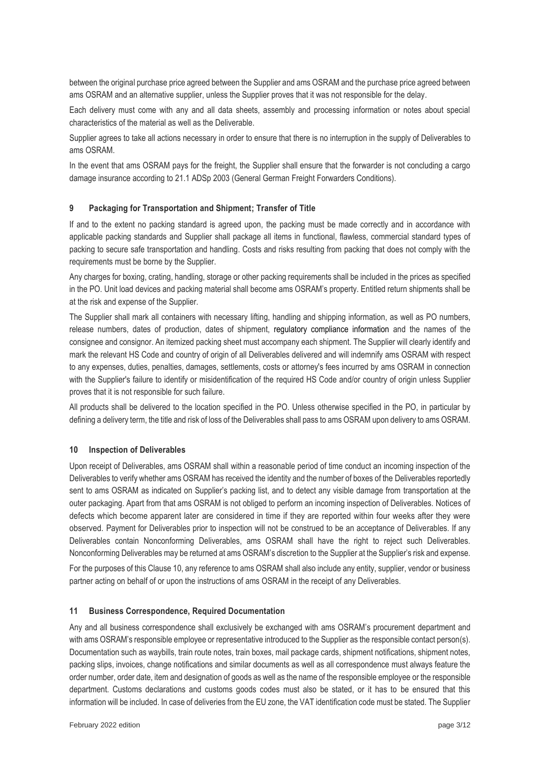between the original purchase price agreed between the Supplier and ams OSRAM and the purchase price agreed between ams OSRAM and an alternative supplier, unless the Supplier proves that it was not responsible for the delay.

Each delivery must come with any and all data sheets, assembly and processing information or notes about special characteristics of the material as well as the Deliverable.

Supplier agrees to take all actions necessary in order to ensure that there is no interruption in the supply of Deliverables to ams OSRAM.

In the event that ams OSRAM pays for the freight, the Supplier shall ensure that the forwarder is not concluding a cargo damage insurance according to 21.1 ADSp 2003 (General German Freight Forwarders Conditions).

## **9 Packaging for Transportation and Shipment; Transfer of Title**

If and to the extent no packing standard is agreed upon, the packing must be made correctly and in accordance with applicable packing standards and Supplier shall package all items in functional, flawless, commercial standard types of packing to secure safe transportation and handling. Costs and risks resulting from packing that does not comply with the requirements must be borne by the Supplier.

Any charges for boxing, crating, handling, storage or other packing requirements shall be included in the prices as specified in the PO. Unit load devices and packing material shall become ams OSRAM's property. Entitled return shipments shall be at the risk and expense of the Supplier.

The Supplier shall mark all containers with necessary lifting, handling and shipping information, as well as PO numbers, release numbers, dates of production, dates of shipment, regulatory compliance information and the names of the consignee and consignor. An itemized packing sheet must accompany each shipment. The Supplier will clearly identify and mark the relevant HS Code and country of origin of all Deliverables delivered and will indemnify ams OSRAM with respect to any expenses, duties, penalties, damages, settlements, costs or attorney's fees incurred by ams OSRAM in connection with the Supplier's failure to identify or misidentification of the required HS Code and/or country of origin unless Supplier proves that it is not responsible for such failure.

All products shall be delivered to the location specified in the PO. Unless otherwise specified in the PO, in particular by defining a delivery term, the title and risk of loss of the Deliverables shall pass to ams OSRAM upon delivery to ams OSRAM.

#### <span id="page-2-0"></span>**10 Inspection of Deliverables**

Upon receipt of Deliverables, ams OSRAM shall within a reasonable period of time conduct an incoming inspection of the Deliverables to verify whether ams OSRAM has received the identity and the number of boxes of the Deliverables reportedly sent to ams OSRAM as indicated on Supplier's packing list, and to detect any visible damage from transportation at the outer packaging. Apart from that ams OSRAM is not obliged to perform an incoming inspection of Deliverables. Notices of defects which become apparent later are considered in time if they are reported within four weeks after they were observed. Payment for Deliverables prior to inspection will not be construed to be an acceptance of Deliverables. If any Deliverables contain Nonconforming Deliverables, ams OSRAM shall have the right to reject such Deliverables. Nonconforming Deliverables may be returned at ams OSRAM's discretion to the Supplier at the Supplier's risk and expense.

For the purposes of this Clause [10,](#page-2-0) any reference to ams OSRAM shall also include any entity, supplier, vendor or business partner acting on behalf of or upon the instructions of ams OSRAM in the receipt of any Deliverables.

#### **11 Business Correspondence, Required Documentation**

Any and all business correspondence shall exclusively be exchanged with ams OSRAM's procurement department and with ams OSRAM's responsible employee or representative introduced to the Supplier as the responsible contact person(s). Documentation such as waybills, train route notes, train boxes, mail package cards, shipment notifications, shipment notes, packing slips, invoices, change notifications and similar documents as well as all correspondence must always feature the order number, order date, item and designation of goods as well as the name of the responsible employee or the responsible department. Customs declarations and customs goods codes must also be stated, or it has to be ensured that this information will be included. In case of deliveries from the EU zone, the VAT identification code must be stated. The Supplier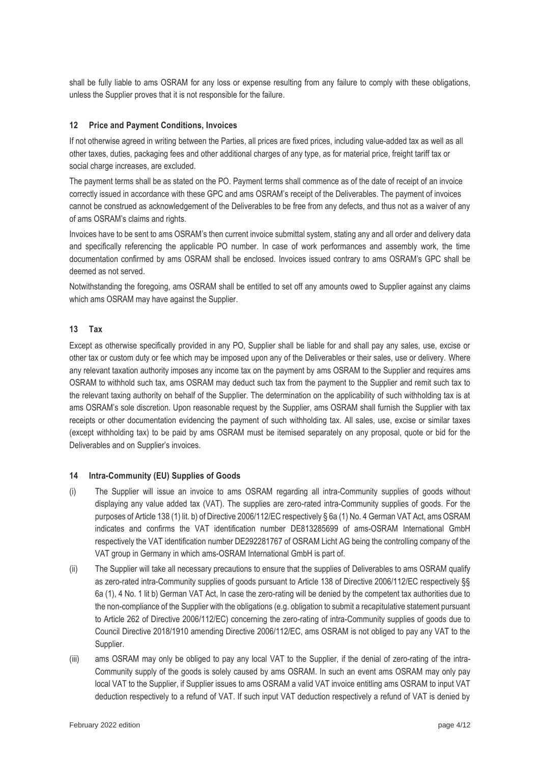shall be fully liable to ams OSRAM for any loss or expense resulting from any failure to comply with these obligations, unless the Supplier proves that it is not responsible for the failure.

## **12 Price and Payment Conditions, Invoices**

If not otherwise agreed in writing between the Parties, all prices are fixed prices, including value-added tax as well as all other taxes, duties, packaging fees and other additional charges of any type, as for material price, freight tariff tax or social charge increases, are excluded.

The payment terms shall be as stated on the PO. Payment terms shall commence as of the date of receipt of an invoice correctly issued in accordance with these GPC and ams OSRAM's receipt of the Deliverables. The payment of invoices cannot be construed as acknowledgement of the Deliverables to be free from any defects, and thus not as a waiver of any of ams OSRAM's claims and rights.

Invoices have to be sent to ams OSRAM's then current invoice submittal system, stating any and all order and delivery data and specifically referencing the applicable PO number. In case of work performances and assembly work, the time documentation confirmed by ams OSRAM shall be enclosed. Invoices issued contrary to ams OSRAM's GPC shall be deemed as not served.

Notwithstanding the foregoing, ams OSRAM shall be entitled to set off any amounts owed to Supplier against any claims which ams OSRAM may have against the Supplier.

#### **13 Tax**

Except as otherwise specifically provided in any PO, Supplier shall be liable for and shall pay any sales, use, excise or other tax or custom duty or fee which may be imposed upon any of the Deliverables or their sales, use or delivery. Where any relevant taxation authority imposes any income tax on the payment by ams OSRAM to the Supplier and requires ams OSRAM to withhold such tax, ams OSRAM may deduct such tax from the payment to the Supplier and remit such tax to the relevant taxing authority on behalf of the Supplier. The determination on the applicability of such withholding tax is at ams OSRAM's sole discretion. Upon reasonable request by the Supplier, ams OSRAM shall furnish the Supplier with tax receipts or other documentation evidencing the payment of such withholding tax. All sales, use, excise or similar taxes (except withholding tax) to be paid by ams OSRAM must be itemised separately on any proposal, quote or bid for the Deliverables and on Supplier's invoices.

#### **14 Intra-Community (EU) Supplies of Goods**

- (i) The Supplier will issue an invoice to ams OSRAM regarding all intra-Community supplies of goods without displaying any value added tax (VAT). The supplies are zero-rated intra-Community supplies of goods. For the purposes of Article 138 (1) lit. b) of Directive 2006/112/EC respectively § 6a (1) No. 4 German VAT Act, ams OSRAM indicates and confirms the VAT identification number DE813285699 of ams-OSRAM International GmbH respectively the VAT identification number DE292281767 of OSRAM Licht AG being the controlling company of the VAT group in Germany in which ams-OSRAM International GmbH is part of.
- (ii) The Supplier will take all necessary precautions to ensure that the supplies of Deliverables to ams OSRAM qualify as zero-rated intra-Community supplies of goods pursuant to Article 138 of Directive 2006/112/EC respectively §§ 6a (1), 4 No. 1 lit b) German VAT Act, In case the zero-rating will be denied by the competent tax authorities due to the non-compliance of the Supplier with the obligations (e.g. obligation to submit a recapitulative statement pursuant to Article 262 of Directive 2006/112/EC) concerning the zero-rating of intra-Community supplies of goods due to Council Directive 2018/1910 amending Directive 2006/112/EC, ams OSRAM is not obliged to pay any VAT to the Supplier.
- (iii) ams OSRAM may only be obliged to pay any local VAT to the Supplier, if the denial of zero-rating of the intra-Community supply of the goods is solely caused by ams OSRAM. In such an event ams OSRAM may only pay local VAT to the Supplier, if Supplier issues to ams OSRAM a valid VAT invoice entitling ams OSRAM to input VAT deduction respectively to a refund of VAT. If such input VAT deduction respectively a refund of VAT is denied by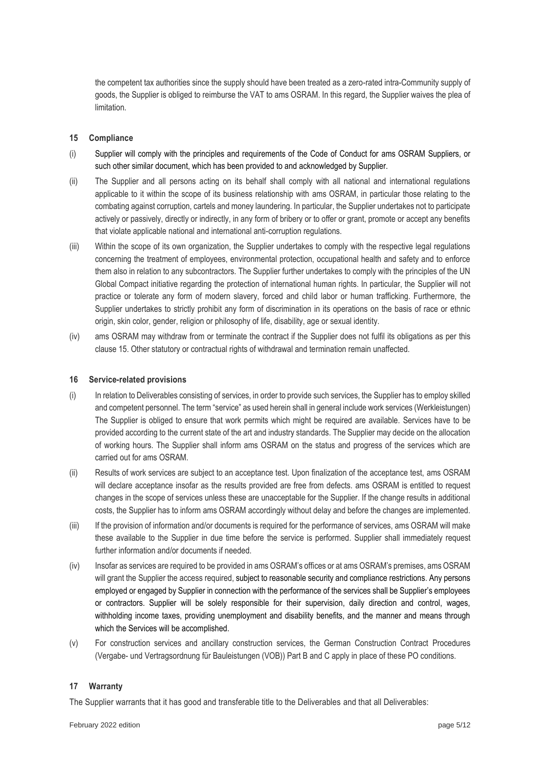the competent tax authorities since the supply should have been treated as a zero-rated intra-Community supply of goods, the Supplier is obliged to reimburse the VAT to ams OSRAM. In this regard, the Supplier waives the plea of limitation.

## <span id="page-4-0"></span>**15 Compliance**

- (i) Supplier will comply with the principles and requirements of the Code of Conduct for ams OSRAM Suppliers, or such other similar document, which has been provided to and acknowledged by Supplier.
- (ii) The Supplier and all persons acting on its behalf shall comply with all national and international regulations applicable to it within the scope of its business relationship with ams OSRAM, in particular those relating to the combating against corruption, cartels and money laundering. In particular, the Supplier undertakes not to participate actively or passively, directly or indirectly, in any form of bribery or to offer or grant, promote or accept any benefits that violate applicable national and international anti-corruption regulations.
- (iii) Within the scope of its own organization, the Supplier undertakes to comply with the respective legal regulations concerning the treatment of employees, environmental protection, occupational health and safety and to enforce them also in relation to any subcontractors. The Supplier further undertakes to comply with the principles of the UN Global Compact initiative regarding the protection of international human rights. In particular, the Supplier will not practice or tolerate any form of modern slavery, forced and child labor or human trafficking. Furthermore, the Supplier undertakes to strictly prohibit any form of discrimination in its operations on the basis of race or ethnic origin, skin color, gender, religion or philosophy of life, disability, age or sexual identity.
- (iv) ams OSRAM may withdraw from or terminate the contract if the Supplier does not fulfil its obligations as per this clause [15.](#page-4-0) Other statutory or contractual rights of withdrawal and termination remain unaffected.

## **16 Service-related provisions**

- (i) In relation to Deliverables consisting of services, in order to provide such services, the Supplier has to employ skilled and competent personnel. The term "service" as used herein shall in general include work services (Werkleistungen) The Supplier is obliged to ensure that work permits which might be required are available. Services have to be provided according to the current state of the art and industry standards. The Supplier may decide on the allocation of working hours. The Supplier shall inform ams OSRAM on the status and progress of the services which are carried out for ams OSRAM.
- (ii) Results of work services are subject to an acceptance test. Upon finalization of the acceptance test, ams OSRAM will declare acceptance insofar as the results provided are free from defects. ams OSRAM is entitled to request changes in the scope of services unless these are unacceptable for the Supplier. If the change results in additional costs, the Supplier has to inform ams OSRAM accordingly without delay and before the changes are implemented.
- (iii) If the provision of information and/or documents is required for the performance of services, ams OSRAM will make these available to the Supplier in due time before the service is performed. Supplier shall immediately request further information and/or documents if needed.
- (iv) Insofar as services are required to be provided in ams OSRAM's offices or at ams OSRAM's premises, ams OSRAM will grant the Supplier the access required, subject to reasonable security and compliance restrictions. Any persons employed or engaged by Supplier in connection with the performance of the services shall be Supplier's employees or contractors. Supplier will be solely responsible for their supervision, daily direction and control, wages, withholding income taxes, providing unemployment and disability benefits, and the manner and means through which the Services will be accomplished.
- (v) For construction services and ancillary construction services, the German Construction Contract Procedures (Vergabe- und Vertragsordnung für Bauleistungen (VOB)) Part B and C apply in place of these PO conditions.

#### **17 Warranty**

The Supplier warrants that it has good and transferable title to the Deliverables and that all Deliverables: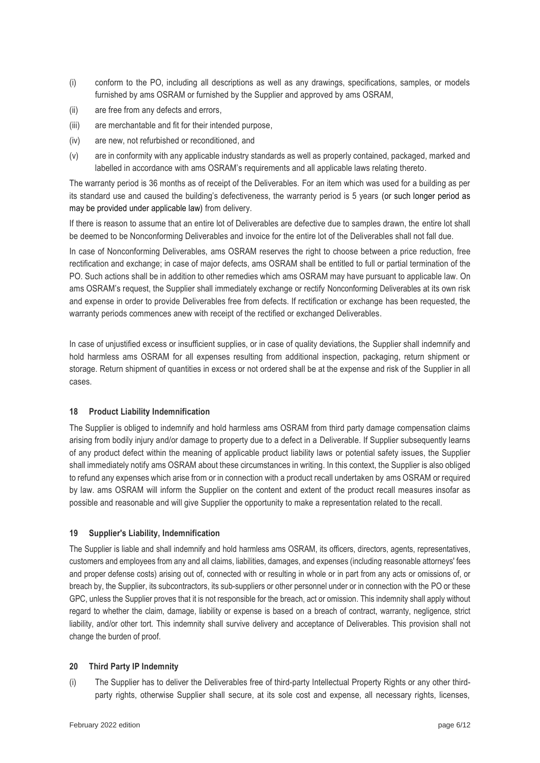- (i) conform to the PO, including all descriptions as well as any drawings, specifications, samples, or models furnished by ams OSRAM or furnished by the Supplier and approved by ams OSRAM,
- (ii) are free from any defects and errors,
- (iii) are merchantable and fit for their intended purpose,
- (iv) are new, not refurbished or reconditioned, and
- (v) are in conformity with any applicable industry standards as well as properly contained, packaged, marked and labelled in accordance with ams OSRAM's requirements and all applicable laws relating thereto.

The warranty period is 36 months as of receipt of the Deliverables. For an item which was used for a building as per its standard use and caused the building's defectiveness, the warranty period is 5 years (or such longer period as may be provided under applicable law) from delivery.

If there is reason to assume that an entire lot of Deliverables are defective due to samples drawn, the entire lot shall be deemed to be Nonconforming Deliverables and invoice for the entire lot of the Deliverables shall not fall due.

In case of Nonconforming Deliverables, ams OSRAM reserves the right to choose between a price reduction, free rectification and exchange; in case of major defects, ams OSRAM shall be entitled to full or partial termination of the PO. Such actions shall be in addition to other remedies which ams OSRAM may have pursuant to applicable law. On ams OSRAM's request, the Supplier shall immediately exchange or rectify Nonconforming Deliverables at its own risk and expense in order to provide Deliverables free from defects. If rectification or exchange has been requested, the warranty periods commences anew with receipt of the rectified or exchanged Deliverables.

In case of unjustified excess or insufficient supplies, or in case of quality deviations, the Supplier shall indemnify and hold harmless ams OSRAM for all expenses resulting from additional inspection, packaging, return shipment or storage. Return shipment of quantities in excess or not ordered shall be at the expense and risk of the Supplier in all cases.

#### **18 Product Liability Indemnification**

The Supplier is obliged to indemnify and hold harmless ams OSRAM from third party damage compensation claims arising from bodily injury and/or damage to property due to a defect in a Deliverable. If Supplier subsequently learns of any product defect within the meaning of applicable product liability laws or potential safety issues, the Supplier shall immediately notify ams OSRAM about these circumstances in writing. In this context, the Supplier is also obliged to refund any expenses which arise from or in connection with a product recall undertaken by ams OSRAM or required by law. ams OSRAM will inform the Supplier on the content and extent of the product recall measures insofar as possible and reasonable and will give Supplier the opportunity to make a representation related to the recall.

#### **19 Supplier's Liability, Indemnification**

The Supplier is liable and shall indemnify and hold harmless ams OSRAM, its officers, directors, agents, representatives, customers and employees from any and all claims, liabilities, damages, and expenses (including reasonable attorneys' fees and proper defense costs) arising out of, connected with or resulting in whole or in part from any acts or omissions of, or breach by, the Supplier, its subcontractors, its sub-suppliers or other personnel under or in connection with the PO or these GPC, unless the Supplier proves that it is not responsible for the breach, act or omission. This indemnity shall apply without regard to whether the claim, damage, liability or expense is based on a breach of contract, warranty, negligence, strict liability, and/or other tort. This indemnity shall survive delivery and acceptance of Deliverables. This provision shall not change the burden of proof.

#### <span id="page-5-0"></span>**20 Third Party IP Indemnity**

<span id="page-5-1"></span>(i) The Supplier has to deliver the Deliverables free of third-party Intellectual Property Rights or any other thirdparty rights, otherwise Supplier shall secure, at its sole cost and expense, all necessary rights, licenses,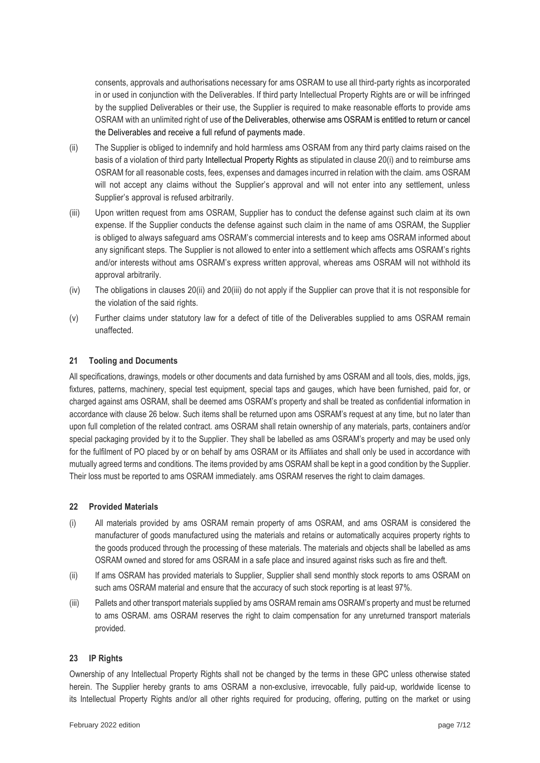consents, approvals and authorisations necessary for ams OSRAM to use all third-party rights as incorporated in or used in conjunction with the Deliverables. If third party Intellectual Property Rights are or will be infringed by the supplied Deliverables or their use, the Supplier is required to make reasonable efforts to provide ams OSRAM with an unlimited right of use of the Deliverables, otherwise ams OSRAM is entitled to return or cancel the Deliverables and receive a full refund of payments made.

- <span id="page-6-0"></span>(ii) The Supplier is obliged to indemnify and hold harmless ams OSRAM from any third party claims raised on the basis of a violation of third party Intellectual Property Rights as stipulated in clause [20](#page-5-0)[\(i\)](#page-5-1) and to reimburse ams OSRAM for all reasonable costs, fees, expenses and damages incurred in relation with the claim. ams OSRAM will not accept any claims without the Supplier's approval and will not enter into any settlement, unless Supplier's approval is refused arbitrarily.
- <span id="page-6-1"></span>(iii) Upon written request from ams OSRAM, Supplier has to conduct the defense against such claim at its own expense. If the Supplier conducts the defense against such claim in the name of ams OSRAM, the Supplier is obliged to always safeguard ams OSRAM's commercial interests and to keep ams OSRAM informed about any significant steps. The Supplier is not allowed to enter into a settlement which affects ams OSRAM's rights and/or interests without ams OSRAM's express written approval, whereas ams OSRAM will not withhold its approval arbitrarily.
- (iv) The obligations in clauses [20](#page-5-0)[\(ii\)](#page-6-0) an[d 20](#page-5-0)[\(iii\)](#page-6-1) do not apply if the Supplier can prove that it is not responsible for the violation of the said rights.
- (v) Further claims under statutory law for a defect of title of the Deliverables supplied to ams OSRAM remain unaffected.

## **21 Tooling and Documents**

All specifications, drawings, models or other documents and data furnished by ams OSRAM and all tools, dies, molds, jigs, fixtures, patterns, machinery, special test equipment, special taps and gauges, which have been furnished, paid for, or charged against ams OSRAM, shall be deemed ams OSRAM's property and shall be treated as confidential information in accordance with clause [26](#page-8-0) below. Such items shall be returned upon ams OSRAM's request at any time, but no later than upon full completion of the related contract. ams OSRAM shall retain ownership of any materials, parts, containers and/or special packaging provided by it to the Supplier. They shall be labelled as ams OSRAM's property and may be used only for the fulfilment of PO placed by or on behalf by ams OSRAM or its Affiliates and shall only be used in accordance with mutually agreed terms and conditions. The items provided by ams OSRAM shall be kept in a good condition by the Supplier. Their loss must be reported to ams OSRAM immediately. ams OSRAM reserves the right to claim damages.

#### **22 Provided Materials**

- (i) All materials provided by ams OSRAM remain property of ams OSRAM, and ams OSRAM is considered the manufacturer of goods manufactured using the materials and retains or automatically acquires property rights to the goods produced through the processing of these materials. The materials and objects shall be labelled as ams OSRAM owned and stored for ams OSRAM in a safe place and insured against risks such as fire and theft.
- (ii) If ams OSRAM has provided materials to Supplier, Supplier shall send monthly stock reports to ams OSRAM on such ams OSRAM material and ensure that the accuracy of such stock reporting is at least 97%.
- (iii) Pallets and other transport materials supplied by ams OSRAM remain ams OSRAM's property and must be returned to ams OSRAM. ams OSRAM reserves the right to claim compensation for any unreturned transport materials provided.

#### **23 IP Rights**

Ownership of any Intellectual Property Rights shall not be changed by the terms in these GPC unless otherwise stated herein. The Supplier hereby grants to ams OSRAM a non-exclusive, irrevocable, fully paid-up, worldwide license to its Intellectual Property Rights and/or all other rights required for producing, offering, putting on the market or using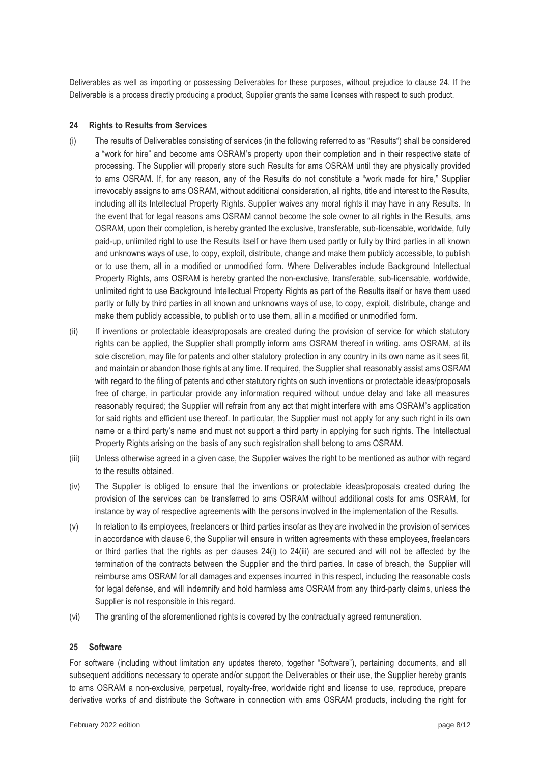Deliverables as well as importing or possessing Deliverables for these purposes, without prejudice to clause [24.](#page-7-0) If the Deliverable is a process directly producing a product, Supplier grants the same licenses with respect to such product.

## <span id="page-7-0"></span>**24 Rights to Results from Services**

- <span id="page-7-1"></span>(i) The results of Deliverables consisting of services (in the following referred to as "Results") shall be considered a "work for hire" and become ams OSRAM's property upon their completion and in their respective state of processing. The Supplier will properly store such Results for ams OSRAM until they are physically provided to ams OSRAM. If, for any reason, any of the Results do not constitute a "work made for hire," Supplier irrevocably assigns to ams OSRAM, without additional consideration, all rights, title and interest to the Results, including all its Intellectual Property Rights. Supplier waives any moral rights it may have in any Results. In the event that for legal reasons ams OSRAM cannot become the sole owner to all rights in the Results, ams OSRAM, upon their completion, is hereby granted the exclusive, transferable, sub-licensable, worldwide, fully paid-up, unlimited right to use the Results itself or have them used partly or fully by third parties in all known and unknowns ways of use, to copy, exploit, distribute, change and make them publicly accessible, to publish or to use them, all in a modified or unmodified form. Where Deliverables include Background Intellectual Property Rights, ams OSRAM is hereby granted the non-exclusive, transferable, sub-licensable, worldwide, unlimited right to use Background Intellectual Property Rights as part of the Results itself or have them used partly or fully by third parties in all known and unknowns ways of use, to copy, exploit, distribute, change and make them publicly accessible, to publish or to use them, all in a modified or unmodified form.
- (ii) If inventions or protectable ideas/proposals are created during the provision of service for which statutory rights can be applied, the Supplier shall promptly inform ams OSRAM thereof in writing. ams OSRAM, at its sole discretion, may file for patents and other statutory protection in any country in its own name as it sees fit, and maintain or abandon those rights at any time. If required, the Supplier shall reasonably assist ams OSRAM with regard to the filing of patents and other statutory rights on such inventions or protectable ideas/proposals free of charge, in particular provide any information required without undue delay and take all measures reasonably required; the Supplier will refrain from any act that might interfere with ams OSRAM's application for said rights and efficient use thereof. In particular, the Supplier must not apply for any such right in its own name or a third party's name and must not support a third party in applying for such rights. The Intellectual Property Rights arising on the basis of any such registration shall belong to ams OSRAM.
- <span id="page-7-2"></span>(iii) Unless otherwise agreed in a given case, the Supplier waives the right to be mentioned as author with regard to the results obtained.
- (iv) The Supplier is obliged to ensure that the inventions or protectable ideas/proposals created during the provision of the services can be transferred to ams OSRAM without additional costs for ams OSRAM, for instance by way of respective agreements with the persons involved in the implementation of the Results.
- (v) In relation to its employees, freelancers or third parties insofar as they are involved in the provision of services in accordance with clause [6,](#page-1-1) the Supplier will ensure in written agreements with these employees, freelancers or third parties that the rights as per clauses [24](#page-7-0)[\(i\)](#page-7-1) to [24](#page-7-0)[\(iii\)](#page-7-2) are secured and will not be affected by the termination of the contracts between the Supplier and the third parties. In case of breach, the Supplier will reimburse ams OSRAM for all damages and expenses incurred in this respect, including the reasonable costs for legal defense, and will indemnify and hold harmless ams OSRAM from any third-party claims, unless the Supplier is not responsible in this regard.
- (vi) The granting of the aforementioned rights is covered by the contractually agreed remuneration.

#### **25 Software**

For software (including without limitation any updates thereto, together "Software"), pertaining documents, and all subsequent additions necessary to operate and/or support the Deliverables or their use, the Supplier hereby grants to ams OSRAM a non-exclusive, perpetual, royalty-free, worldwide right and license to use, reproduce, prepare derivative works of and distribute the Software in connection with ams OSRAM products, including the right for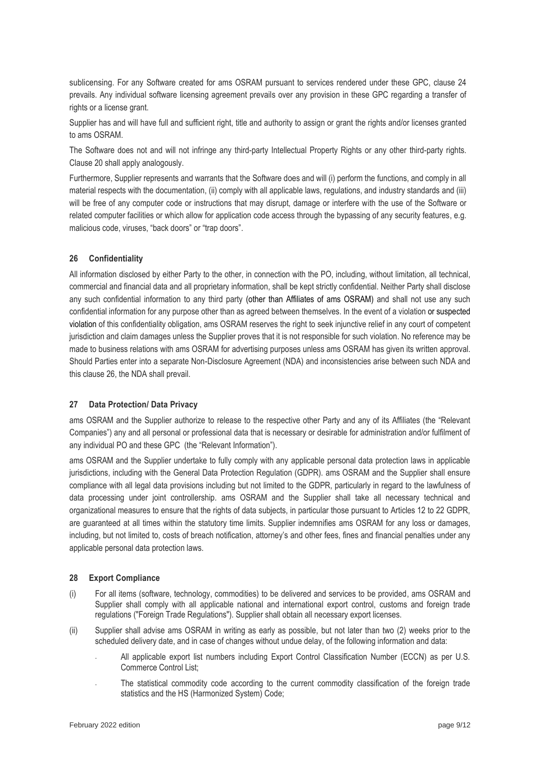sublicensing. For any Software created for ams OSRAM pursuant to services rendered under these GPC, clause [24](#page-7-0) prevails. Any individual software licensing agreement prevails over any provision in these GPC regarding a transfer of rights or a license grant.

Supplier has and will have full and sufficient right, title and authority to assign or grant the rights and/or licenses granted to ams OSRAM.

The Software does not and will not infringe any third-party Intellectual Property Rights or any other third-party rights. Clause 20 shall apply analogously.

Furthermore, Supplier represents and warrants that the Software does and will (i) perform the functions, and comply in all material respects with the documentation, (ii) comply with all applicable laws, regulations, and industry standards and (iii) will be free of any computer code or instructions that may disrupt, damage or interfere with the use of the Software or related computer facilities or which allow for application code access through the bypassing of any security features, e.g. malicious code, viruses, "back doors" or "trap doors".

## <span id="page-8-0"></span>**26 Confidentiality**

All information disclosed by either Party to the other, in connection with the PO, including, without limitation, all technical, commercial and financial data and all proprietary information, shall be kept strictly confidential. Neither Party shall disclose any such confidential information to any third party (other than Affiliates of ams OSRAM) and shall not use any such confidential information for any purpose other than as agreed between themselves. In the event of a violation or suspected violation of this confidentiality obligation, ams OSRAM reserves the right to seek injunctive relief in any court of competent jurisdiction and claim damages unless the Supplier proves that it is not responsible for such violation. No reference may be made to business relations with ams OSRAM for advertising purposes unless ams OSRAM has given its written approval. Should Parties enter into a separate Non-Disclosure Agreement (NDA) and inconsistencies arise between such NDA and this claus[e 26,](#page-8-0) the NDA shall prevail.

#### **27 Data Protection/ Data Privacy**

ams OSRAM and the Supplier authorize to release to the respective other Party and any of its Affiliates (the "Relevant Companies") any and all personal or professional data that is necessary or desirable for administration and/or fulfilment of any individual PO and these GPC (the "Relevant Information").

ams OSRAM and the Supplier undertake to fully comply with any applicable personal data protection laws in applicable jurisdictions, including with the General Data Protection Regulation (GDPR). ams OSRAM and the Supplier shall ensure compliance with all legal data provisions including but not limited to the GDPR, particularly in regard to the lawfulness of data processing under joint controllership. ams OSRAM and the Supplier shall take all necessary technical and organizational measures to ensure that the rights of data subjects, in particular those pursuant to Articles 12 to 22 GDPR, are guaranteed at all times within the statutory time limits. Supplier indemnifies ams OSRAM for any loss or damages, including, but not limited to, costs of breach notification, attorney's and other fees, fines and financial penalties under any applicable personal data protection laws.

#### **28 Export Compliance**

- (i) For all items (software, technology, commodities) to be delivered and services to be provided, ams OSRAM and Supplier shall comply with all applicable national and international export control, customs and foreign trade regulations ("Foreign Trade Regulations"). Supplier shall obtain all necessary export licenses.
- (ii) Supplier shall advise ams OSRAM in writing as early as possible, but not later than two (2) weeks prior to the scheduled delivery date, and in case of changes without undue delay, of the following information and data:
	- All applicable export list numbers including Export Control Classification Number (ECCN) as per U.S. Commerce Control List;
	- The statistical commodity code according to the current commodity classification of the foreign trade statistics and the HS (Harmonized System) Code;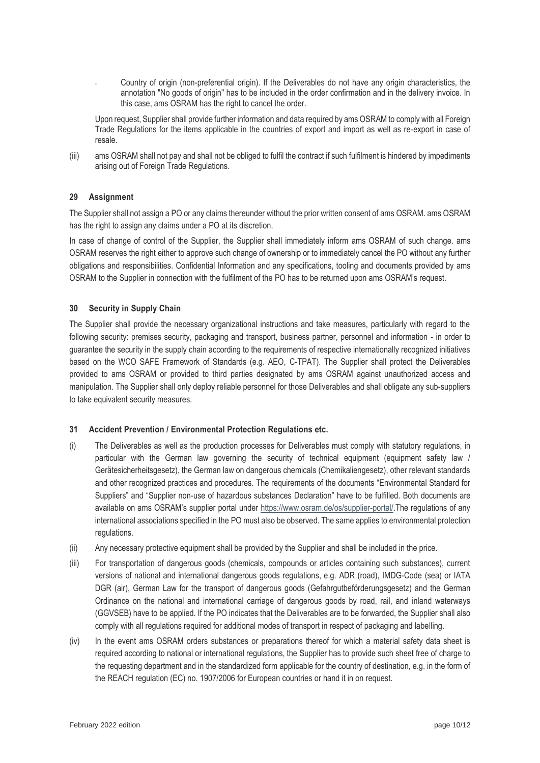- Country of origin (non-preferential origin). If the Deliverables do not have any origin characteristics, the annotation "No goods of origin" has to be included in the order confirmation and in the delivery invoice. In this case, ams OSRAM has the right to cancel the order.

Upon request, Supplier shall provide further information and data required by ams OSRAM to comply with all Foreign Trade Regulations for the items applicable in the countries of export and import as well as re-export in case of resale.

(iii) ams OSRAM shall not pay and shall not be obliged to fulfil the contract if such fulfilment is hindered by impediments arising out of Foreign Trade Regulations.

# **29 Assignment**

The Supplier shall not assign a PO or any claims thereunder without the prior written consent of ams OSRAM. ams OSRAM has the right to assign any claims under a PO at its discretion.

In case of change of control of the Supplier, the Supplier shall immediately inform ams OSRAM of such change. ams OSRAM reserves the right either to approve such change of ownership or to immediately cancel the PO without any further obligations and responsibilities. Confidential Information and any specifications, tooling and documents provided by ams OSRAM to the Supplier in connection with the fulfilment of the PO has to be returned upon ams OSRAM's request.

# **30 Security in Supply Chain**

The Supplier shall provide the necessary organizational instructions and take measures, particularly with regard to the following security: premises security, packaging and transport, business partner, personnel and information - in order to guarantee the security in the supply chain according to the requirements of respective internationally recognized initiatives based on the WCO SAFE Framework of Standards (e.g. AEO, C-TPAT). The Supplier shall protect the Deliverables provided to ams OSRAM or provided to third parties designated by ams OSRAM against unauthorized access and manipulation. The Supplier shall only deploy reliable personnel for those Deliverables and shall obligate any sub-suppliers to take equivalent security measures.

# **31 Accident Prevention / Environmental Protection Regulations etc.**

- (i) The Deliverables as well as the production processes for Deliverables must comply with statutory regulations, in particular with the German law governing the security of technical equipment (equipment safety law / Gerätesicherheitsgesetz), the German law on dangerous chemicals (Chemikaliengesetz), other relevant standards and other recognized practices and procedures. The requirements of the documents "Environmental Standard for Suppliers" and "Supplier non-use of hazardous substances Declaration" have to be fulfilled. Both documents are available on ams OSRAM's supplier portal under [https://www.osram.de/os/supplier-portal/.](https://www.osram.de/os/supplier-portal/)The regulations of any international associations specified in the PO must also be observed. The same applies to environmental protection regulations.
- (ii) Any necessary protective equipment shall be provided by the Supplier and shall be included in the price.
- (iii) For transportation of dangerous goods (chemicals, compounds or articles containing such substances), current versions of national and international dangerous goods regulations, e.g. ADR (road), IMDG-Code (sea) or IATA DGR (air), German Law for the transport of dangerous goods (Gefahrgutbeförderungsgesetz) and the German Ordinance on the national and international carriage of dangerous goods by road, rail, and inland waterways (GGVSEB) have to be applied. If the PO indicates that the Deliverables are to be forwarded, the Supplier shall also comply with all regulations required for additional modes of transport in respect of packaging and labelling.
- (iv) In the event ams OSRAM orders substances or preparations thereof for which a material safety data sheet is required according to national or international regulations, the Supplier has to provide such sheet free of charge to the requesting department and in the standardized form applicable for the country of destination, e.g. in the form of the REACH regulation (EC) no. 1907/2006 for European countries or hand it in on request.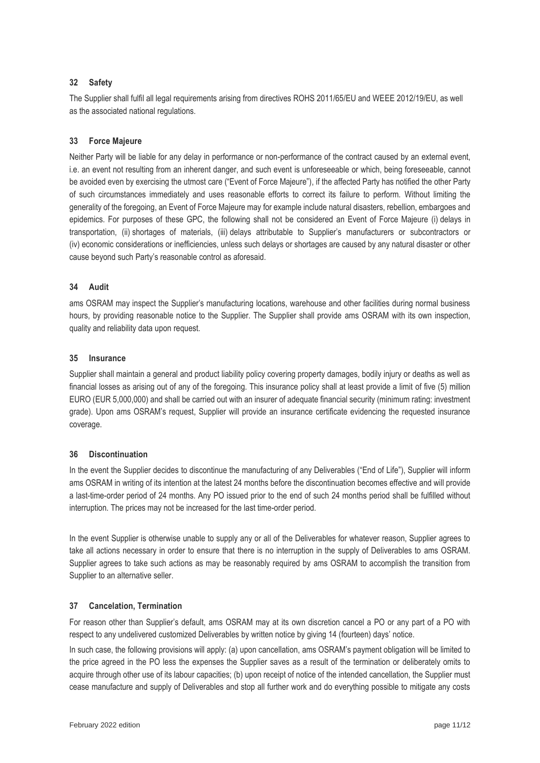## **32 Safety**

The Supplier shall fulfil all legal requirements arising from directives ROHS 2011/65/EU and WEEE 2012/19/EU, as well as the associated national regulations.

### **33 Force Majeure**

Neither Party will be liable for any delay in performance or non-performance of the contract caused by an external event, i.e. an event not resulting from an inherent danger, and such event is unforeseeable or which, being foreseeable, cannot be avoided even by exercising the utmost care ("Event of Force Majeure"), if the affected Party has notified the other Party of such circumstances immediately and uses reasonable efforts to correct its failure to perform. Without limiting the generality of the foregoing, an Event of Force Majeure may for example include natural disasters, rebellion, embargoes and epidemics. For purposes of these GPC, the following shall not be considered an Event of Force Majeure (i) delays in transportation, (ii) shortages of materials, (iii) delays attributable to Supplier's manufacturers or subcontractors or (iv) economic considerations or inefficiencies, unless such delays or shortages are caused by any natural disaster or other cause beyond such Party's reasonable control as aforesaid.

#### **34 Audit**

ams OSRAM may inspect the Supplier's manufacturing locations, warehouse and other facilities during normal business hours, by providing reasonable notice to the Supplier. The Supplier shall provide ams OSRAM with its own inspection, quality and reliability data upon request.

#### **35 Insurance**

Supplier shall maintain a general and product liability policy covering property damages, bodily injury or deaths as well as financial losses as arising out of any of the foregoing. This insurance policy shall at least provide a limit of five (5) million EURO (EUR 5,000,000) and shall be carried out with an insurer of adequate financial security (minimum rating: investment grade). Upon ams OSRAM's request, Supplier will provide an insurance certificate evidencing the requested insurance coverage.

#### **36 Discontinuation**

In the event the Supplier decides to discontinue the manufacturing of any Deliverables ("End of Life"), Supplier will inform ams OSRAM in writing of its intention at the latest 24 months before the discontinuation becomes effective and will provide a last-time-order period of 24 months. Any PO issued prior to the end of such 24 months period shall be fulfilled without interruption. The prices may not be increased for the last time-order period.

In the event Supplier is otherwise unable to supply any or all of the Deliverables for whatever reason, Supplier agrees to take all actions necessary in order to ensure that there is no interruption in the supply of Deliverables to ams OSRAM. Supplier agrees to take such actions as may be reasonably required by ams OSRAM to accomplish the transition from Supplier to an alternative seller.

#### **37 Cancelation, Termination**

For reason other than Supplier's default, ams OSRAM may at its own discretion cancel a PO or any part of a PO with respect to any undelivered customized Deliverables by written notice by giving 14 (fourteen) days' notice.

In such case, the following provisions will apply: (a) upon cancellation, ams OSRAM's payment obligation will be limited to the price agreed in the PO less the expenses the Supplier saves as a result of the termination or deliberately omits to acquire through other use of its labour capacities; (b) upon receipt of notice of the intended cancellation, the Supplier must cease manufacture and supply of Deliverables and stop all further work and do everything possible to mitigate any costs